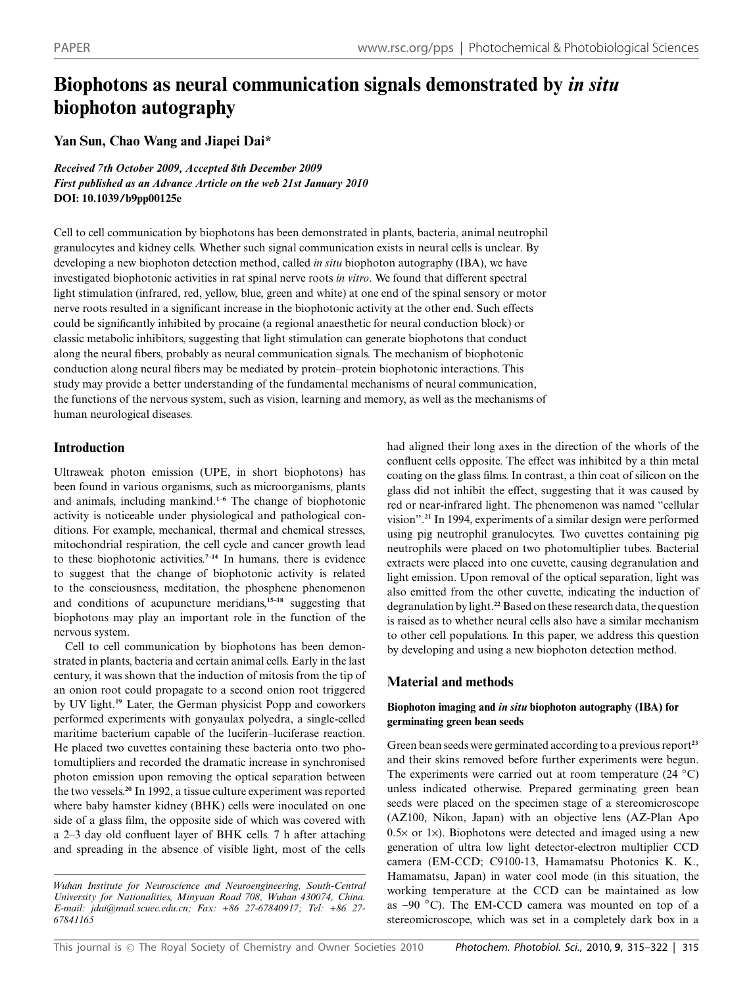# **Biophotons as neural communication signals demonstrated by** *in situ* **biophoton autography**

**Yan Sun, Chao Wang and Jiapei Dai\***

*Received 7th October 2009, Accepted 8th December 2009 First published as an Advance Article on the web 21st January 2010* **DOI: 10.1039/b9pp00125e**

Cell to cell communication by biophotons has been demonstrated in plants, bacteria, animal neutrophil granulocytes and kidney cells. Whether such signal communication exists in neural cells is unclear. By developing a new biophoton detection method, called *in situ* biophoton autography (IBA), we have investigated biophotonic activities in rat spinal nerve roots *in vitro*. We found that different spectral light stimulation (infrared, red, yellow, blue, green and white) at one end of the spinal sensory or motor nerve roots resulted in a significant increase in the biophotonic activity at the other end. Such effects could be significantly inhibited by procaine (a regional anaesthetic for neural conduction block) or classic metabolic inhibitors, suggesting that light stimulation can generate biophotons that conduct along the neural fibers, probably as neural communication signals. The mechanism of biophotonic conduction along neural fibers may be mediated by protein–protein biophotonic interactions. This study may provide a better understanding of the fundamental mechanisms of neural communication, the functions of the nervous system, such as vision, learning and memory, as well as the mechanisms of human neurological diseases.

## **Introduction**

Ultraweak photon emission (UPE, in short biophotons) has been found in various organisms, such as microorganisms, plants and animals, including mankind.**1–6** The change of biophotonic activity is noticeable under physiological and pathological conditions. For example, mechanical, thermal and chemical stresses, mitochondrial respiration, the cell cycle and cancer growth lead to these biophotonic activities.**7–14** In humans, there is evidence to suggest that the change of biophotonic activity is related to the consciousness, meditation, the phosphene phenomenon and conditions of acupuncture meridians,**15–18** suggesting that biophotons may play an important role in the function of the nervous system.

Cell to cell communication by biophotons has been demonstrated in plants, bacteria and certain animal cells. Early in the last century, it was shown that the induction of mitosis from the tip of an onion root could propagate to a second onion root triggered by UV light.**<sup>19</sup>** Later, the German physicist Popp and coworkers performed experiments with gonyaulax polyedra, a single-celled maritime bacterium capable of the luciferin–luciferase reaction. He placed two cuvettes containing these bacteria onto two photomultipliers and recorded the dramatic increase in synchronised photon emission upon removing the optical separation between the two vessels.**<sup>20</sup>** In 1992, a tissue culture experiment was reported where baby hamster kidney (BHK) cells were inoculated on one side of a glass film, the opposite side of which was covered with a 2–3 day old confluent layer of BHK cells. 7 h after attaching and spreading in the absence of visible light, most of the cells had aligned their long axes in the direction of the whorls of the confluent cells opposite. The effect was inhibited by a thin metal coating on the glass films. In contrast, a thin coat of silicon on the glass did not inhibit the effect, suggesting that it was caused by red or near-infrared light. The phenomenon was named "cellular vision".**<sup>21</sup>** In 1994, experiments of a similar design were performed using pig neutrophil granulocytes. Two cuvettes containing pig neutrophils were placed on two photomultiplier tubes. Bacterial extracts were placed into one cuvette, causing degranulation and light emission. Upon removal of the optical separation, light was also emitted from the other cuvette, indicating the induction of degranulation by light.**<sup>22</sup>** Based on these research data, the question is raised as to whether neural cells also have a similar mechanism to other cell populations. In this paper, we address this question by developing and using a new biophoton detection method.

## **Material and methods**

## **Biophoton imaging and** *in situ* **biophoton autography (IBA) for germinating green bean seeds**

Green bean seeds were germinated according to a previous report**<sup>23</sup>** and their skins removed before further experiments were begun. The experiments were carried out at room temperature (24 *◦*C) unless indicated otherwise. Prepared germinating green bean seeds were placed on the specimen stage of a stereomicroscope (AZ100, Nikon, Japan) with an objective lens (AZ-Plan Apo  $0.5 \times$  or 1 $\times$ ). Biophotons were detected and imaged using a new generation of ultra low light detector-electron multiplier CCD camera (EM-CCD; C9100-13, Hamamatsu Photonics K. K., Hamamatsu, Japan) in water cool mode (in this situation, the working temperature at the CCD can be maintained as low as -90 *◦*C). The EM-CCD camera was mounted on top of a stereomicroscope, which was set in a completely dark box in a

*Wuhan Institute for Neuroscience and Neuroengineering, South-Central University for Nationalities, Minyuan Road 708, Wuhan 430074, China. E-mail: jdai@mail.scuec.edu.cn; Fax: +86 27-67840917; Tel: +86 27- 67841165*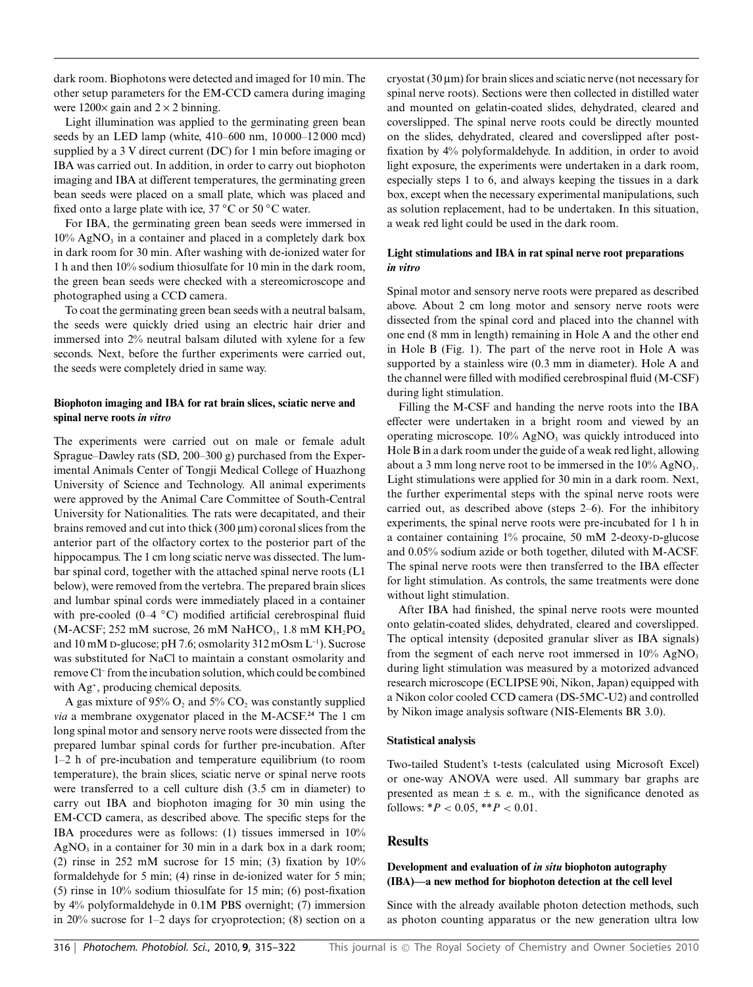dark room. Biophotons were detected and imaged for 10 min. The other setup parameters for the EM-CCD camera during imaging were 1200 $\times$  gain and 2  $\times$  2 binning.

Light illumination was applied to the germinating green bean seeds by an LED lamp (white, 410–600 nm, 10 000–12 000 mcd) supplied by a 3 V direct current (DC) for 1 min before imaging or IBA was carried out. In addition, in order to carry out biophoton imaging and IBA at different temperatures, the germinating green bean seeds were placed on a small plate, which was placed and fixed onto a large plate with ice, 37 *◦*C or 50 *◦*C water.

For IBA, the germinating green bean seeds were immersed in  $10\%$  AgNO<sub>3</sub> in a container and placed in a completely dark box in dark room for 30 min. After washing with de-ionized water for 1 h and then 10% sodium thiosulfate for 10 min in the dark room, the green bean seeds were checked with a stereomicroscope and photographed using a CCD camera.

To coat the germinating green bean seeds with a neutral balsam, the seeds were quickly dried using an electric hair drier and immersed into 2% neutral balsam diluted with xylene for a few seconds. Next, before the further experiments were carried out, the seeds were completely dried in same way.

#### **Biophoton imaging and IBA for rat brain slices, sciatic nerve and spinal nerve roots** *in vitro*

The experiments were carried out on male or female adult Sprague–Dawley rats (SD, 200–300 g) purchased from the Experimental Animals Center of Tongji Medical College of Huazhong University of Science and Technology. All animal experiments were approved by the Animal Care Committee of South-Central University for Nationalities. The rats were decapitated, and their brains removed and cut into thick  $(300 \,\mu m)$  coronal slices from the anterior part of the olfactory cortex to the posterior part of the hippocampus. The 1 cm long sciatic nerve was dissected. The lumbar spinal cord, together with the attached spinal nerve roots (L1 below), were removed from the vertebra. The prepared brain slices and lumbar spinal cords were immediately placed in a container with pre-cooled (0–4 <sup>°</sup>C) modified artificial cerebrospinal fluid (M-ACSF; 252 mM sucrose, 26 mM NaHCO<sub>3</sub>, 1.8 mM KH<sub>2</sub>PO<sub>4</sub> and 10 mM D-glucose; pH 7.6; osmolarity 312 mOsm L-<sup>1</sup> ). Sucrose was substituted for NaCl to maintain a constant osmolarity and remove Cl- from the incubation solution, which could be combined with Ag<sup>+</sup>, producing chemical deposits.

A gas mixture of 95%  $O_2$  and 5%  $CO_2$  was constantly supplied *via* a membrane oxygenator placed in the M-ACSF.**<sup>24</sup>** The 1 cm long spinal motor and sensory nerve roots were dissected from the prepared lumbar spinal cords for further pre-incubation. After 1–2 h of pre-incubation and temperature equilibrium (to room temperature), the brain slices, sciatic nerve or spinal nerve roots were transferred to a cell culture dish (3.5 cm in diameter) to carry out IBA and biophoton imaging for 30 min using the EM-CCD camera, as described above. The specific steps for the IBA procedures were as follows: (1) tissues immersed in 10%  $AgNO<sub>3</sub>$  in a container for 30 min in a dark box in a dark room; (2) rinse in  $252 \text{ mM}$  sucrose for 15 min; (3) fixation by  $10\%$ formaldehyde for 5 min; (4) rinse in de-ionized water for 5 min; (5) rinse in 10% sodium thiosulfate for 15 min; (6) post-fixation by 4% polyformaldehyde in 0.1M PBS overnight; (7) immersion in 20% sucrose for 1–2 days for cryoprotection; (8) section on a cryostat  $(30 \,\mu\text{m})$  for brain slices and sciatic nerve (not necessary for spinal nerve roots). Sections were then collected in distilled water and mounted on gelatin-coated slides, dehydrated, cleared and coverslipped. The spinal nerve roots could be directly mounted on the slides, dehydrated, cleared and coverslipped after postfixation by 4% polyformaldehyde. In addition, in order to avoid light exposure, the experiments were undertaken in a dark room, especially steps 1 to 6, and always keeping the tissues in a dark box, except when the necessary experimental manipulations, such as solution replacement, had to be undertaken. In this situation, a weak red light could be used in the dark room.

#### **Light stimulations and IBA in rat spinal nerve root preparations** *in vitro*

Spinal motor and sensory nerve roots were prepared as described above. About 2 cm long motor and sensory nerve roots were dissected from the spinal cord and placed into the channel with one end (8 mm in length) remaining in Hole A and the other end in Hole B (Fig. 1). The part of the nerve root in Hole A was supported by a stainless wire (0.3 mm in diameter). Hole A and the channel were filled with modified cerebrospinal fluid (M-CSF) during light stimulation.

Filling the M-CSF and handing the nerve roots into the IBA effecter were undertaken in a bright room and viewed by an operating microscope. 10% AgNO<sub>3</sub> was quickly introduced into Hole B in a dark room under the guide of a weak red light, allowing about a 3 mm long nerve root to be immersed in the  $10\%$  AgNO<sub>3</sub>. Light stimulations were applied for 30 min in a dark room. Next, the further experimental steps with the spinal nerve roots were carried out, as described above (steps 2–6). For the inhibitory experiments, the spinal nerve roots were pre-incubated for 1 h in a container containing 1% procaine, 50 mM 2-deoxy-D-glucose and 0.05% sodium azide or both together, diluted with M-ACSF. The spinal nerve roots were then transferred to the IBA effecter for light stimulation. As controls, the same treatments were done without light stimulation.

After IBA had finished, the spinal nerve roots were mounted onto gelatin-coated slides, dehydrated, cleared and coverslipped. The optical intensity (deposited granular sliver as IBA signals) from the segment of each nerve root immersed in  $10\%$  AgNO<sub>3</sub> during light stimulation was measured by a motorized advanced research microscope (ECLIPSE 90i, Nikon, Japan) equipped with a Nikon color cooled CCD camera (DS-5MC-U2) and controlled by Nikon image analysis software (NIS-Elements BR 3.0).

#### **Statistical analysis**

Two-tailed Student's t-tests (calculated using Microsoft Excel) or one-way ANOVA were used. All summary bar graphs are presented as mean  $\pm$  s. e. m., with the significance denoted as follows:  $*P < 0.05$ ,  $**P < 0.01$ .

#### **Results**

#### **Development and evaluation of** *in situ* **biophoton autography (IBA)—a new method for biophoton detection at the cell level**

Since with the already available photon detection methods, such as photon counting apparatus or the new generation ultra low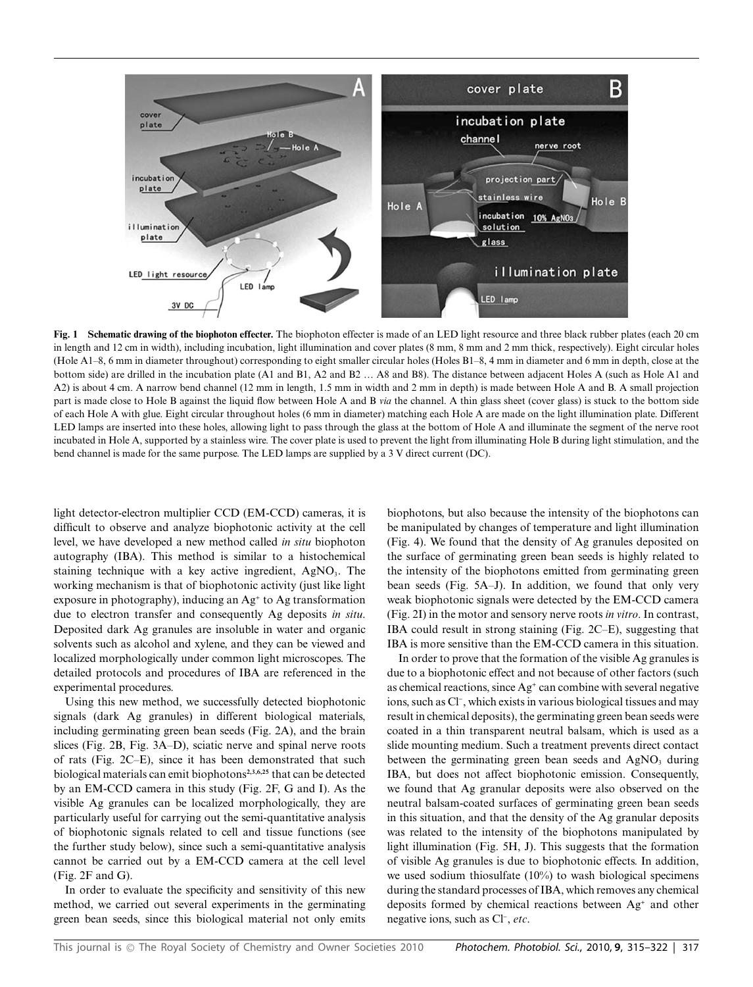

**Fig. 1 Schematic drawing of the biophoton effecter.** The biophoton effecter is made of an LED light resource and three black rubber plates (each 20 cm in length and 12 cm in width), including incubation, light illumination and cover plates (8 mm, 8 mm and 2 mm thick, respectively). Eight circular holes (Hole A1–8, 6 mm in diameter throughout) corresponding to eight smaller circular holes (Holes B1–8, 4 mm in diameter and 6 mm in depth, close at the bottom side) are drilled in the incubation plate (A1 and B1, A2 and B2 … A8 and B8). The distance between adjacent Holes A (such as Hole A1 and A2) is about 4 cm. A narrow bend channel (12 mm in length, 1.5 mm in width and 2 mm in depth) is made between Hole A and B. A small projection part is made close to Hole B against the liquid flow between Hole A and B *via* the channel. A thin glass sheet (cover glass) is stuck to the bottom side of each Hole A with glue. Eight circular throughout holes (6 mm in diameter) matching each Hole A are made on the light illumination plate. Different LED lamps are inserted into these holes, allowing light to pass through the glass at the bottom of Hole A and illuminate the segment of the nerve root incubated in Hole A, supported by a stainless wire. The cover plate is used to prevent the light from illuminating Hole B during light stimulation, and the bend channel is made for the same purpose. The LED lamps are supplied by a 3 V direct current (DC).

light detector-electron multiplier CCD (EM-CCD) cameras, it is difficult to observe and analyze biophotonic activity at the cell level, we have developed a new method called *in situ* biophoton autography (IBA). This method is similar to a histochemical staining technique with a key active ingredient,  $AgNO<sub>3</sub>$ . The working mechanism is that of biophotonic activity (just like light exposure in photography), inducing an  $\text{Ag}^+$  to  $\text{Ag}$  transformation due to electron transfer and consequently Ag deposits *in situ*. Deposited dark Ag granules are insoluble in water and organic solvents such as alcohol and xylene, and they can be viewed and localized morphologically under common light microscopes. The detailed protocols and procedures of IBA are referenced in the experimental procedures.

Using this new method, we successfully detected biophotonic signals (dark Ag granules) in different biological materials, including germinating green bean seeds (Fig. 2A), and the brain slices (Fig. 2B, Fig. 3A–D), sciatic nerve and spinal nerve roots of rats (Fig. 2C–E), since it has been demonstrated that such biological materials can emit biophotons**2,3,6,25** that can be detected by an EM-CCD camera in this study (Fig. 2F, G and I). As the visible Ag granules can be localized morphologically, they are particularly useful for carrying out the semi-quantitative analysis of biophotonic signals related to cell and tissue functions (see the further study below), since such a semi-quantitative analysis cannot be carried out by a EM-CCD camera at the cell level (Fig. 2F and G).

In order to evaluate the specificity and sensitivity of this new method, we carried out several experiments in the germinating green bean seeds, since this biological material not only emits

biophotons, but also because the intensity of the biophotons can be manipulated by changes of temperature and light illumination (Fig. 4). We found that the density of Ag granules deposited on the surface of germinating green bean seeds is highly related to the intensity of the biophotons emitted from germinating green bean seeds (Fig. 5A–J). In addition, we found that only very weak biophotonic signals were detected by the EM-CCD camera (Fig. 2I) in the motor and sensory nerve roots *in vitro*. In contrast, IBA could result in strong staining (Fig. 2C–E), suggesting that IBA is more sensitive than the EM-CCD camera in this situation.

In order to prove that the formation of the visible Ag granules is due to a biophotonic effect and not because of other factors (such as chemical reactions, since  $Ag<sup>+</sup>$  can combine with several negative ions, such as Cl<sup>-</sup>, which exists in various biological tissues and may result in chemical deposits), the germinating green bean seeds were coated in a thin transparent neutral balsam, which is used as a slide mounting medium. Such a treatment prevents direct contact between the germinating green bean seeds and  $AgNO<sub>3</sub>$  during IBA, but does not affect biophotonic emission. Consequently, we found that Ag granular deposits were also observed on the neutral balsam-coated surfaces of germinating green bean seeds in this situation, and that the density of the Ag granular deposits was related to the intensity of the biophotons manipulated by light illumination (Fig. 5H, J). This suggests that the formation of visible Ag granules is due to biophotonic effects. In addition, we used sodium thiosulfate (10%) to wash biological specimens during the standard processes of IBA, which removes any chemical deposits formed by chemical reactions between Ag+ and other negative ions, such as Cl- , *etc*.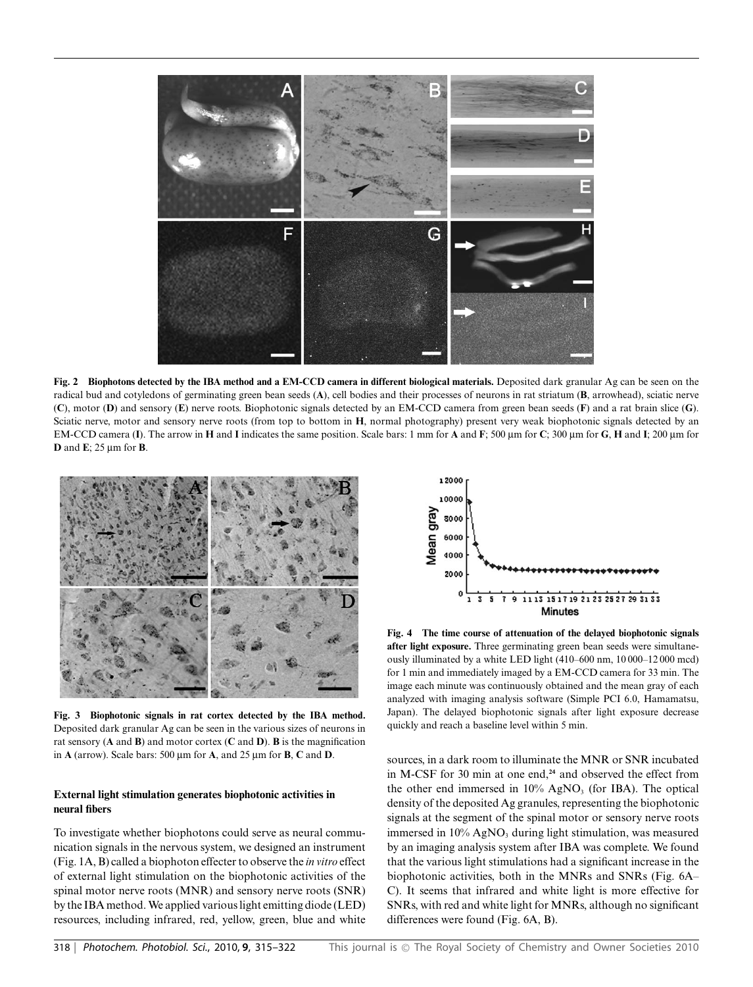

**Fig. 2 Biophotons detected by the IBA method and a EM-CCD camera in different biological materials.** Deposited dark granular Ag can be seen on the radical bud and cotyledons of germinating green bean seeds (**A**), cell bodies and their processes of neurons in rat striatum (**B**, arrowhead), sciatic nerve (**C**), motor (**D**) and sensory (**E**) nerve roots. Biophotonic signals detected by an EM-CCD camera from green bean seeds (**F**) and a rat brain slice (**G**). Sciatic nerve, motor and sensory nerve roots (from top to bottom in **H**, normal photography) present very weak biophotonic signals detected by an EM-CCD camera (I). The arrow in **H** and I indicates the same position. Scale bars: 1 mm for **A** and **F**; 500 µm for **C**; 300 µm for **G**, **H** and I; 200 µm for **D** and **E**;  $25 \text{ µm}$  for **B**.



**Fig. 3 Biophotonic signals in rat cortex detected by the IBA method.** Deposited dark granular Ag can be seen in the various sizes of neurons in rat sensory (**A** and **B**) and motor cortex (**C** and **D**). **B** is the magnification in **A** (arrow). Scale bars: 500  $\mu$ m for **A**, and 25  $\mu$ m for **B**, **C** and **D**.

#### **External light stimulation generates biophotonic activities in neural fibers**

To investigate whether biophotons could serve as neural communication signals in the nervous system, we designed an instrument (Fig. 1A, B) called a biophoton effecter to observe the *in vitro* effect of external light stimulation on the biophotonic activities of the spinal motor nerve roots (MNR) and sensory nerve roots (SNR) by the IBA method.We applied various light emitting diode (LED) resources, including infrared, red, yellow, green, blue and white



**Fig. 4 The time course of attenuation of the delayed biophotonic signals after light exposure.** Three germinating green bean seeds were simultaneously illuminated by a white LED light (410–600 nm, 10 000–12 000 mcd) for 1 min and immediately imaged by a EM-CCD camera for 33 min. The image each minute was continuously obtained and the mean gray of each analyzed with imaging analysis software (Simple PCI 6.0, Hamamatsu, Japan). The delayed biophotonic signals after light exposure decrease quickly and reach a baseline level within 5 min.

sources, in a dark room to illuminate the MNR or SNR incubated in M-CSF for 30 min at one end,**<sup>24</sup>** and observed the effect from the other end immersed in  $10\%$  AgNO<sub>3</sub> (for IBA). The optical density of the deposited Ag granules, representing the biophotonic signals at the segment of the spinal motor or sensory nerve roots immersed in 10% AgNO<sub>3</sub> during light stimulation, was measured by an imaging analysis system after IBA was complete. We found that the various light stimulations had a significant increase in the biophotonic activities, both in the MNRs and SNRs (Fig. 6A– C). It seems that infrared and white light is more effective for SNRs, with red and white light for MNRs, although no significant differences were found (Fig. 6A, B).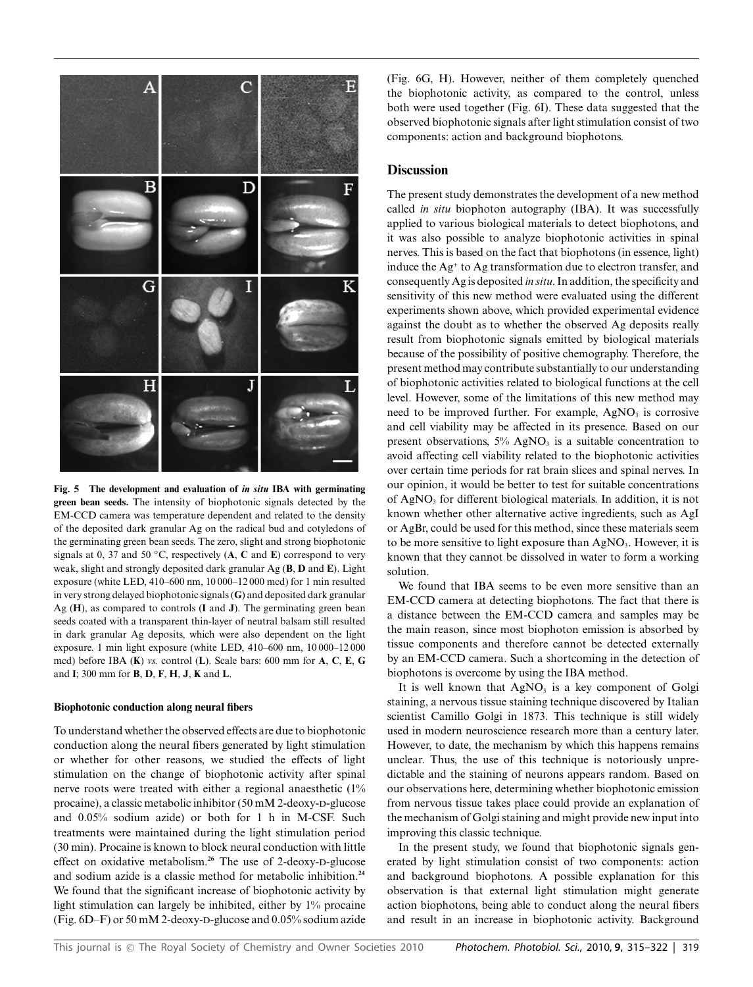

**Fig. 5 The development and evaluation of** *in situ* **IBA with germinating green bean seeds.** The intensity of biophotonic signals detected by the EM-CCD camera was temperature dependent and related to the density of the deposited dark granular Ag on the radical bud and cotyledons of the germinating green bean seeds. The zero, slight and strong biophotonic signals at 0, 37 and 50 *◦*C, respectively (**A**, **C** and **E**) correspond to very weak, slight and strongly deposited dark granular Ag (**B**, **D** and **E**). Light exposure (white LED, 410–600 nm, 10 000–12 000 mcd) for 1 min resulted in very strong delayed biophotonic signals (**G**) and deposited dark granular Ag (**H**), as compared to controls (**I** and **J**). The germinating green bean seeds coated with a transparent thin-layer of neutral balsam still resulted in dark granular Ag deposits, which were also dependent on the light exposure. 1 min light exposure (white LED, 410–600 nm, 10 000–12 000 mcd) before IBA (**K**) *vs.* control (**L**). Scale bars: 600 mm for **A**, **C**, **E**, **G** and **I**; 300 mm for **B**, **D**, **F**, **H**, **J**, **K** and **L**.

#### **Biophotonic conduction along neural fibers**

To understand whether the observed effects are due to biophotonic conduction along the neural fibers generated by light stimulation or whether for other reasons, we studied the effects of light stimulation on the change of biophotonic activity after spinal nerve roots were treated with either a regional anaesthetic (1% procaine), a classic metabolic inhibitor (50 mM 2-deoxy-D-glucose and 0.05% sodium azide) or both for 1 h in M-CSF. Such treatments were maintained during the light stimulation period (30 min). Procaine is known to block neural conduction with little effect on oxidative metabolism.**<sup>26</sup>** The use of 2-deoxy-D-glucose and sodium azide is a classic method for metabolic inhibition.**<sup>24</sup>** We found that the significant increase of biophotonic activity by light stimulation can largely be inhibited, either by 1% procaine (Fig. 6D–F) or 50 mM 2-deoxy-D-glucose and 0.05% sodium azide (Fig. 6G, H). However, neither of them completely quenched the biophotonic activity, as compared to the control, unless both were used together (Fig. 6I). These data suggested that the observed biophotonic signals after light stimulation consist of two components: action and background biophotons.

### **Discussion**

The present study demonstrates the development of a new method called *in situ* biophoton autography (IBA). It was successfully applied to various biological materials to detect biophotons, and it was also possible to analyze biophotonic activities in spinal nerves. This is based on the fact that biophotons (in essence, light) induce the Ag<sup>+</sup> to Ag transformation due to electron transfer, and consequently Ag is deposited *in situ*. In addition, the specificity and sensitivity of this new method were evaluated using the different experiments shown above, which provided experimental evidence against the doubt as to whether the observed Ag deposits really result from biophotonic signals emitted by biological materials because of the possibility of positive chemography. Therefore, the present method may contribute substantially to our understanding of biophotonic activities related to biological functions at the cell level. However, some of the limitations of this new method may need to be improved further. For example,  $AgNO<sub>3</sub>$  is corrosive and cell viability may be affected in its presence. Based on our present observations,  $5\%$  AgNO<sub>3</sub> is a suitable concentration to avoid affecting cell viability related to the biophotonic activities over certain time periods for rat brain slices and spinal nerves. In our opinion, it would be better to test for suitable concentrations of AgNO<sub>3</sub> for different biological materials. In addition, it is not known whether other alternative active ingredients, such as AgI or AgBr, could be used for this method, since these materials seem to be more sensitive to light exposure than AgNO<sub>3</sub>. However, it is known that they cannot be dissolved in water to form a working solution.

We found that IBA seems to be even more sensitive than an EM-CCD camera at detecting biophotons. The fact that there is a distance between the EM-CCD camera and samples may be the main reason, since most biophoton emission is absorbed by tissue components and therefore cannot be detected externally by an EM-CCD camera. Such a shortcoming in the detection of biophotons is overcome by using the IBA method.

It is well known that  $AgNO<sub>3</sub>$  is a key component of Golgi staining, a nervous tissue staining technique discovered by Italian scientist Camillo Golgi in 1873. This technique is still widely used in modern neuroscience research more than a century later. However, to date, the mechanism by which this happens remains unclear. Thus, the use of this technique is notoriously unpredictable and the staining of neurons appears random. Based on our observations here, determining whether biophotonic emission from nervous tissue takes place could provide an explanation of the mechanism of Golgi staining and might provide new input into improving this classic technique.

In the present study, we found that biophotonic signals generated by light stimulation consist of two components: action and background biophotons. A possible explanation for this observation is that external light stimulation might generate action biophotons, being able to conduct along the neural fibers and result in an increase in biophotonic activity. Background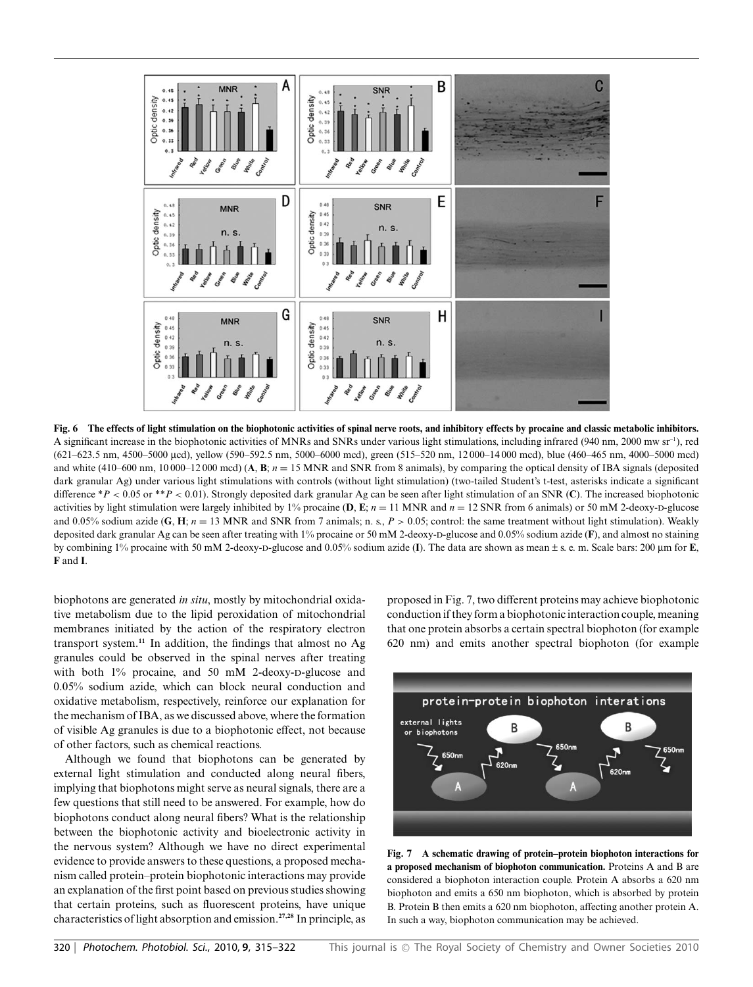

**Fig. 6 The effects of light stimulation on the biophotonic activities of spinal nerve roots, and inhibitory effects by procaine and classic metabolic inhibitors.** A significant increase in the biophotonic activities of MNRs and SNRs under various light stimulations, including infrared (940 nm, 2000 mw sr-<sup>1</sup> ), red (621–623.5 nm, 4500–5000 mcd), yellow (590–592.5 nm, 5000–6000 mcd), green (515–520 nm, 12 000–14 000 mcd), blue (460–465 nm, 4000–5000 mcd) and white (410–600 nm, 10 000–12 000 mcd) ( $\bf{A}$ ,  $\bf{B}$ ;  $n = 15$  MNR and SNR from 8 animals), by comparing the optical density of IBA signals (deposited dark granular Ag) under various light stimulations with controls (without light stimulation) (two-tailed Student's t-test, asterisks indicate a significant difference \**P* < 0.05 or \*\**P* < 0.01). Strongly deposited dark granular Ag can be seen after light stimulation of an SNR (**C**). The increased biophotonic activities by light stimulation were largely inhibited by 1% procaine (**D**, **E**;  $n = 11$  MNR and  $n = 12$  SNR from 6 animals) or 50 mM 2-deoxy-D-glucose and 0.05% sodium azide (**G**, **H**; *n* = 13 MNR and SNR from 7 animals; n. s., *P* > 0.05; control: the same treatment without light stimulation). Weakly deposited dark granular Ag can be seen after treating with 1% procaine or 50 mM 2-deoxy-D-glucose and 0.05% sodium azide (**F**), and almost no staining by combining 1% procaine with 50 mM 2-deoxy-D-glucose and 0.05% sodium azide (I). The data are shown as mean  $\pm$  s. e. m. Scale bars: 200 µm for **E**, **F** and **I**.

biophotons are generated *in situ*, mostly by mitochondrial oxidative metabolism due to the lipid peroxidation of mitochondrial membranes initiated by the action of the respiratory electron transport system.**<sup>11</sup>** In addition, the findings that almost no Ag granules could be observed in the spinal nerves after treating with both 1% procaine, and 50 mM 2-deoxy-D-glucose and 0.05% sodium azide, which can block neural conduction and oxidative metabolism, respectively, reinforce our explanation for the mechanism of IBA, as we discussed above, where the formation of visible Ag granules is due to a biophotonic effect, not because of other factors, such as chemical reactions.

Although we found that biophotons can be generated by external light stimulation and conducted along neural fibers, implying that biophotons might serve as neural signals, there are a few questions that still need to be answered. For example, how do biophotons conduct along neural fibers? What is the relationship between the biophotonic activity and bioelectronic activity in the nervous system? Although we have no direct experimental evidence to provide answers to these questions, a proposed mechanism called protein–protein biophotonic interactions may provide an explanation of the first point based on previous studies showing that certain proteins, such as fluorescent proteins, have unique characteristics of light absorption and emission.**27,28** In principle, as proposed in Fig. 7, two different proteins may achieve biophotonic conduction if they form a biophotonic interaction couple, meaning that one protein absorbs a certain spectral biophoton (for example 620 nm) and emits another spectral biophoton (for example



**Fig. 7 A schematic drawing of protein–protein biophoton interactions for a proposed mechanism of biophoton communication.** Proteins A and B are considered a biophoton interaction couple. Protein A absorbs a 620 nm biophoton and emits a 650 nm biophoton, which is absorbed by protein B. Protein B then emits a 620 nm biophoton, affecting another protein A. In such a way, biophoton communication may be achieved.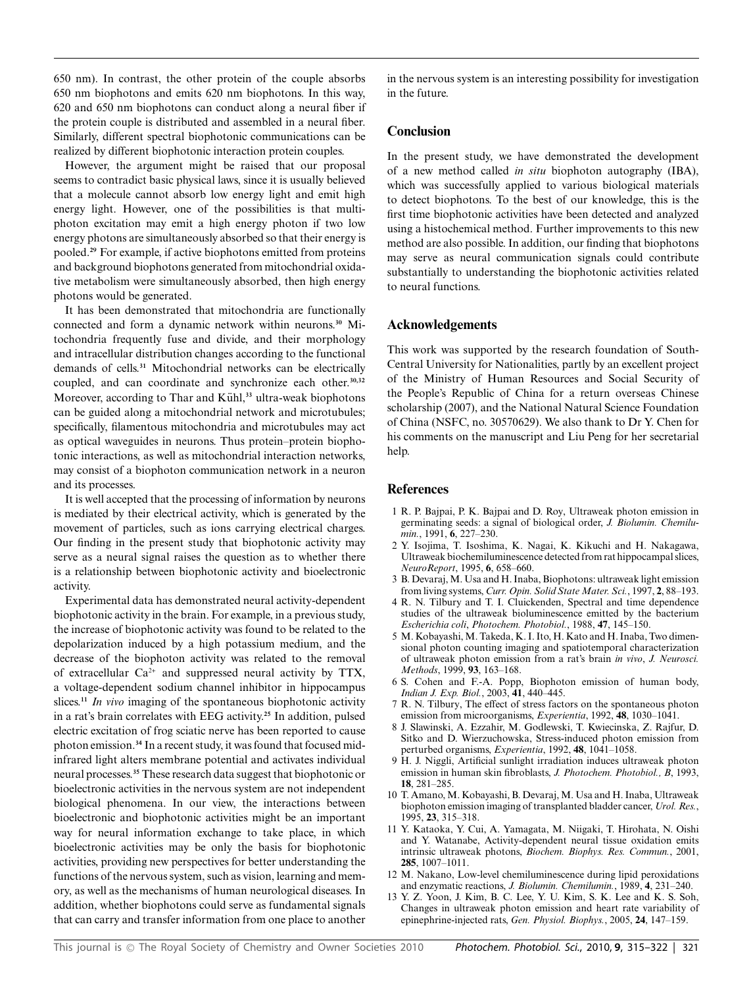650 nm). In contrast, the other protein of the couple absorbs 650 nm biophotons and emits 620 nm biophotons. In this way, 620 and 650 nm biophotons can conduct along a neural fiber if the protein couple is distributed and assembled in a neural fiber. Similarly, different spectral biophotonic communications can be realized by different biophotonic interaction protein couples.

However, the argument might be raised that our proposal seems to contradict basic physical laws, since it is usually believed that a molecule cannot absorb low energy light and emit high energy light. However, one of the possibilities is that multiphoton excitation may emit a high energy photon if two low energy photons are simultaneously absorbed so that their energy is pooled.**<sup>29</sup>** For example, if active biophotons emitted from proteins and background biophotons generated from mitochondrial oxidative metabolism were simultaneously absorbed, then high energy photons would be generated.

It has been demonstrated that mitochondria are functionally connected and form a dynamic network within neurons.**<sup>30</sup>** Mitochondria frequently fuse and divide, and their morphology and intracellular distribution changes according to the functional demands of cells.**<sup>31</sup>** Mitochondrial networks can be electrically coupled, and can coordinate and synchronize each other.**30,32** Moreover, according to Thar and Kühl,<sup>33</sup> ultra-weak biophotons can be guided along a mitochondrial network and microtubules; specifically, filamentous mitochondria and microtubules may act as optical waveguides in neurons. Thus protein–protein biophotonic interactions, as well as mitochondrial interaction networks, may consist of a biophoton communication network in a neuron and its processes.

It is well accepted that the processing of information by neurons is mediated by their electrical activity, which is generated by the movement of particles, such as ions carrying electrical charges. Our finding in the present study that biophotonic activity may serve as a neural signal raises the question as to whether there is a relationship between biophotonic activity and bioelectronic activity.

Experimental data has demonstrated neural activity-dependent biophotonic activity in the brain. For example, in a previous study, the increase of biophotonic activity was found to be related to the depolarization induced by a high potassium medium, and the decrease of the biophoton activity was related to the removal of extracellular  $Ca^{2+}$  and suppressed neural activity by TTX, a voltage-dependent sodium channel inhibitor in hippocampus slices.**<sup>11</sup>** *In vivo* imaging of the spontaneous biophotonic activity in a rat's brain correlates with EEG activity.**<sup>25</sup>** In addition, pulsed electric excitation of frog sciatic nerve has been reported to cause photon emission.**<sup>34</sup>** In a recent study, it was found that focused midinfrared light alters membrane potential and activates individual neural processes.**<sup>35</sup>** These research data suggest that biophotonic or bioelectronic activities in the nervous system are not independent biological phenomena. In our view, the interactions between bioelectronic and biophotonic activities might be an important way for neural information exchange to take place, in which bioelectronic activities may be only the basis for biophotonic activities, providing new perspectives for better understanding the functions of the nervous system, such as vision, learning and memory, as well as the mechanisms of human neurological diseases. In addition, whether biophotons could serve as fundamental signals that can carry and transfer information from one place to another in the nervous system is an interesting possibility for investigation in the future.

### **Conclusion**

In the present study, we have demonstrated the development of a new method called *in situ* biophoton autography (IBA), which was successfully applied to various biological materials to detect biophotons. To the best of our knowledge, this is the first time biophotonic activities have been detected and analyzed using a histochemical method. Further improvements to this new method are also possible. In addition, our finding that biophotons may serve as neural communication signals could contribute substantially to understanding the biophotonic activities related to neural functions.

#### **Acknowledgements**

This work was supported by the research foundation of South-Central University for Nationalities, partly by an excellent project of the Ministry of Human Resources and Social Security of the People's Republic of China for a return overseas Chinese scholarship (2007), and the National Natural Science Foundation of China (NSFC, no. 30570629). We also thank to Dr Y. Chen for his comments on the manuscript and Liu Peng for her secretarial help.

#### **References**

- 1 R. P. Bajpai, P. K. Bajpai and D. Roy, Ultraweak photon emission in germinating seeds: a signal of biological order, *J. Biolumin. Chemilumin.*, 1991, **6**, 227–230.
- 2 Y. Isojima, T. Isoshima, K. Nagai, K. Kikuchi and H. Nakagawa, Ultraweak biochemiluminescence detected from rat hippocampal slices, *NeuroReport*, 1995, **6**, 658–660.
- 3 B. Devaraj,M. Usa and H. Inaba, Biophotons: ultraweak light emission from living systems, *Curr. Opin. Solid State Mater. Sci.*, 1997, **2**, 88–193.
- 4 R. N. Tilbury and T. I. Cluickenden, Spectral and time dependence studies of the ultraweak bioluminescence emitted by the bacterium *Escherichia coli*, *Photochem. Photobiol.*, 1988, **47**, 145–150.
- 5 M. Kobayashi, M. Takeda, K. I. Ito, H. Kato and H. Inaba, Two dimensional photon counting imaging and spatiotemporal characterization of ultraweak photon emission from a rat's brain *in vivo*, *J. Neurosci. Methods*, 1999, **93**, 163–168.
- 6 S. Cohen and F.-A. Popp, Biophoton emission of human body, *Indian J. Exp. Biol.*, 2003, **41**, 440–445.
- 7 R. N. Tilbury, The effect of stress factors on the spontaneous photon emission from microorganisms, *Experientia*, 1992, **48**, 1030–1041.
- 8 J. Slawinski, A. Ezzahir, M. Godlewski, T. Kwiecinska, Z. Rajfur, D. Sitko and D. Wierzuchowska, Stress-induced photon emission from perturbed organisms, *Experientia*, 1992, **48**, 1041–1058.
- 9 H. J. Niggli, Artificial sunlight irradiation induces ultraweak photon emission in human skin fibroblasts, *J. Photochem. Photobiol., B*, 1993, **18**, 281–285.
- 10 T. Amano, M. Kobayashi, B. Devaraj, M. Usa and H. Inaba, Ultraweak biophoton emission imaging of transplanted bladder cancer, *Urol. Res.*, 1995, **23**, 315–318.
- 11 Y. Kataoka, Y. Cui, A. Yamagata, M. Niigaki, T. Hirohata, N. Oishi and Y. Watanabe, Activity-dependent neural tissue oxidation emits intrinsic ultraweak photons, *Biochem. Biophys. Res. Commun.*, 2001, **285**, 1007–1011.
- 12 M. Nakano, Low-level chemiluminescence during lipid peroxidations and enzymatic reactions, *J. Biolumin. Chemilumin.*, 1989, **4**, 231–240.
- 13 Y. Z. Yoon, J. Kim, B. C. Lee, Y. U. Kim, S. K. Lee and K. S. Soh, Changes in ultraweak photon emission and heart rate variability of epinephrine-injected rats, *Gen. Physiol. Biophys.*, 2005, **24**, 147–159.